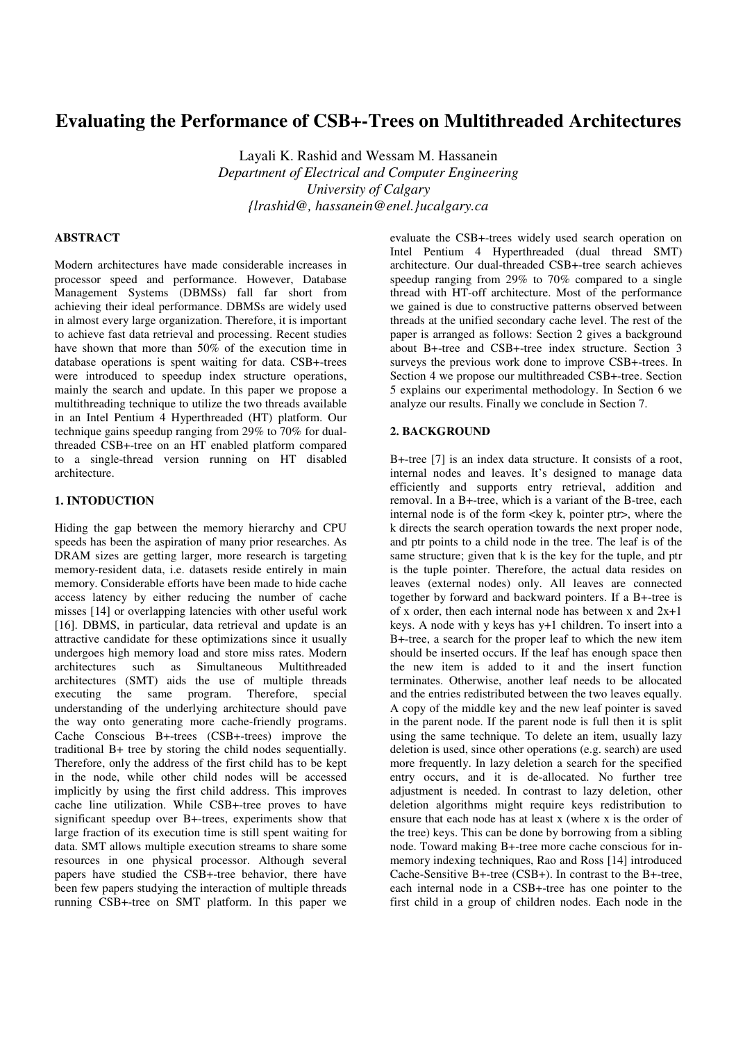# **Evaluating the Performance of CSB+-Trees on Multithreaded Architectures**

Layali K. Rashid and Wessam M. Hassanein *Department of Electrical and Computer Engineering University of Calgary {lrashid@, hassanein@enel.}ucalgary.ca* 

# **ABSTRACT**

Modern architectures have made considerable increases in processor speed and performance. However, Database Management Systems (DBMSs) fall far short from achieving their ideal performance. DBMSs are widely used in almost every large organization. Therefore, it is important to achieve fast data retrieval and processing. Recent studies have shown that more than 50% of the execution time in database operations is spent waiting for data. CSB+-trees were introduced to speedup index structure operations, mainly the search and update. In this paper we propose a multithreading technique to utilize the two threads available in an Intel Pentium 4 Hyperthreaded (HT) platform. Our technique gains speedup ranging from 29% to 70% for dualthreaded CSB+-tree on an HT enabled platform compared to a single-thread version running on HT disabled architecture.

## **1. INTODUCTION**

Hiding the gap between the memory hierarchy and CPU speeds has been the aspiration of many prior researches. As DRAM sizes are getting larger, more research is targeting memory-resident data, i.e. datasets reside entirely in main memory. Considerable efforts have been made to hide cache access latency by either reducing the number of cache misses [14] or overlapping latencies with other useful work [16]. DBMS, in particular, data retrieval and update is an attractive candidate for these optimizations since it usually undergoes high memory load and store miss rates. Modern architectures such as Simultaneous Multithreaded architectures (SMT) aids the use of multiple threads executing the same program. Therefore, special understanding of the underlying architecture should pave the way onto generating more cache-friendly programs. Cache Conscious B+-trees (CSB+-trees) improve the traditional B+ tree by storing the child nodes sequentially. Therefore, only the address of the first child has to be kept in the node, while other child nodes will be accessed implicitly by using the first child address. This improves cache line utilization. While CSB+-tree proves to have significant speedup over B+-trees, experiments show that large fraction of its execution time is still spent waiting for data. SMT allows multiple execution streams to share some resources in one physical processor. Although several papers have studied the CSB+-tree behavior, there have been few papers studying the interaction of multiple threads running CSB+-tree on SMT platform. In this paper we evaluate the CSB+-trees widely used search operation on Intel Pentium 4 Hyperthreaded (dual thread SMT) architecture. Our dual-threaded CSB+-tree search achieves speedup ranging from 29% to 70% compared to a single thread with HT-off architecture. Most of the performance we gained is due to constructive patterns observed between threads at the unified secondary cache level. The rest of the paper is arranged as follows: Section 2 gives a background about B+-tree and CSB+-tree index structure. Section 3 surveys the previous work done to improve CSB+-trees. In Section 4 we propose our multithreaded CSB+-tree. Section 5 explains our experimental methodology. In Section 6 we analyze our results. Finally we conclude in Section 7.

### **2. BACKGROUND**

B+-tree [7] is an index data structure. It consists of a root, internal nodes and leaves. It's designed to manage data efficiently and supports entry retrieval, addition and removal. In a B+-tree, which is a variant of the B-tree, each internal node is of the form  $\langle \text{key k}, \text{pointer ptr} \rangle$ , where the k directs the search operation towards the next proper node, and ptr points to a child node in the tree. The leaf is of the same structure; given that k is the key for the tuple, and ptr is the tuple pointer. Therefore, the actual data resides on leaves (external nodes) only. All leaves are connected together by forward and backward pointers. If a B+-tree is of x order, then each internal node has between x and 2x+1 keys. A node with y keys has y+1 children. To insert into a B+-tree, a search for the proper leaf to which the new item should be inserted occurs. If the leaf has enough space then the new item is added to it and the insert function terminates. Otherwise, another leaf needs to be allocated and the entries redistributed between the two leaves equally. A copy of the middle key and the new leaf pointer is saved in the parent node. If the parent node is full then it is split using the same technique. To delete an item, usually lazy deletion is used, since other operations (e.g. search) are used more frequently. In lazy deletion a search for the specified entry occurs, and it is de-allocated. No further tree adjustment is needed. In contrast to lazy deletion, other deletion algorithms might require keys redistribution to ensure that each node has at least x (where x is the order of the tree) keys. This can be done by borrowing from a sibling node. Toward making B+-tree more cache conscious for inmemory indexing techniques, Rao and Ross [14] introduced Cache-Sensitive B+-tree (CSB+). In contrast to the B+-tree, each internal node in a CSB+-tree has one pointer to the first child in a group of children nodes. Each node in the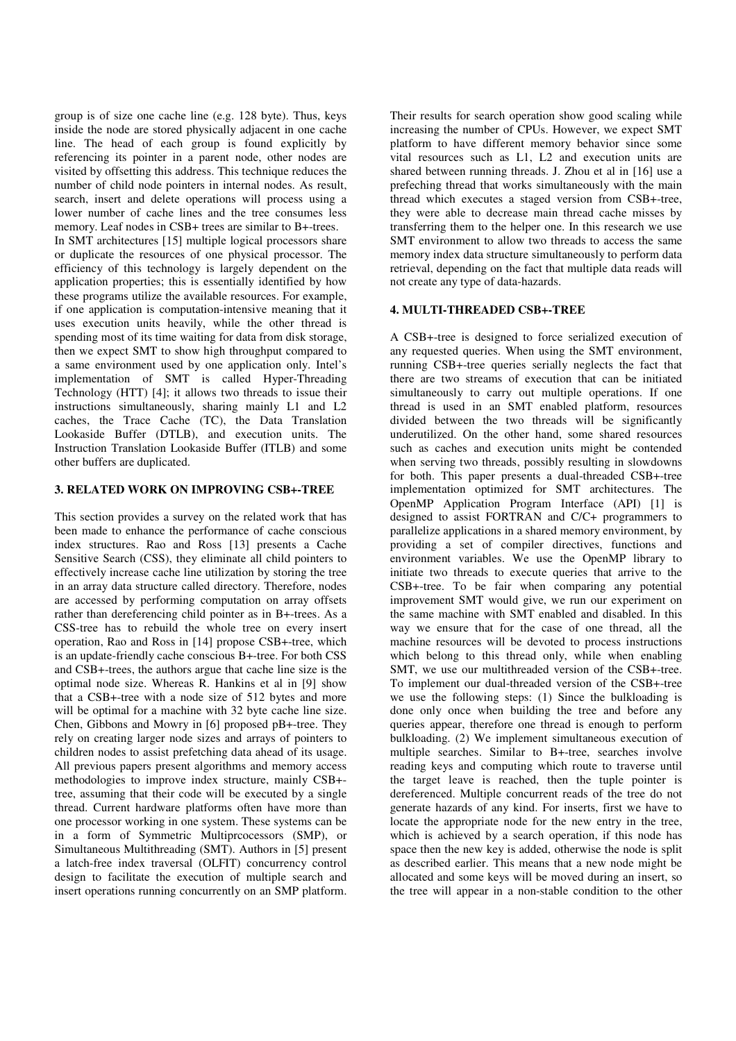group is of size one cache line (e.g. 128 byte). Thus, keys inside the node are stored physically adjacent in one cache line. The head of each group is found explicitly by referencing its pointer in a parent node, other nodes are visited by offsetting this address. This technique reduces the number of child node pointers in internal nodes. As result, search, insert and delete operations will process using a lower number of cache lines and the tree consumes less memory. Leaf nodes in CSB+ trees are similar to B+-trees.

In SMT architectures [15] multiple logical processors share or duplicate the resources of one physical processor. The efficiency of this technology is largely dependent on the application properties; this is essentially identified by how these programs utilize the available resources. For example, if one application is computation-intensive meaning that it uses execution units heavily, while the other thread is spending most of its time waiting for data from disk storage, then we expect SMT to show high throughput compared to a same environment used by one application only. Intel's implementation of SMT is called Hyper-Threading Technology (HTT) [4]; it allows two threads to issue their instructions simultaneously, sharing mainly L1 and L2 caches, the Trace Cache (TC), the Data Translation Lookaside Buffer (DTLB), and execution units. The Instruction Translation Lookaside Buffer (ITLB) and some other buffers are duplicated.

## **3. RELATED WORK ON IMPROVING CSB+-TREE**

This section provides a survey on the related work that has been made to enhance the performance of cache conscious index structures. Rao and Ross [13] presents a Cache Sensitive Search (CSS), they eliminate all child pointers to effectively increase cache line utilization by storing the tree in an array data structure called directory. Therefore, nodes are accessed by performing computation on array offsets rather than dereferencing child pointer as in B+-trees. As a CSS-tree has to rebuild the whole tree on every insert operation, Rao and Ross in [14] propose CSB+-tree, which is an update-friendly cache conscious B+-tree. For both CSS and CSB+-trees, the authors argue that cache line size is the optimal node size. Whereas R. Hankins et al in [9] show that a CSB+-tree with a node size of 512 bytes and more will be optimal for a machine with 32 byte cache line size. Chen, Gibbons and Mowry in [6] proposed pB+-tree. They rely on creating larger node sizes and arrays of pointers to children nodes to assist prefetching data ahead of its usage. All previous papers present algorithms and memory access methodologies to improve index structure, mainly CSB+ tree, assuming that their code will be executed by a single thread. Current hardware platforms often have more than one processor working in one system. These systems can be in a form of Symmetric Multiprcocessors (SMP), or Simultaneous Multithreading (SMT). Authors in [5] present a latch-free index traversal (OLFIT) concurrency control design to facilitate the execution of multiple search and insert operations running concurrently on an SMP platform.

Their results for search operation show good scaling while increasing the number of CPUs. However, we expect SMT platform to have different memory behavior since some vital resources such as L1, L2 and execution units are shared between running threads. J. Zhou et al in [16] use a prefeching thread that works simultaneously with the main thread which executes a staged version from CSB+-tree, they were able to decrease main thread cache misses by transferring them to the helper one. In this research we use SMT environment to allow two threads to access the same memory index data structure simultaneously to perform data retrieval, depending on the fact that multiple data reads will not create any type of data-hazards.

## **4. MULTI-THREADED CSB+-TREE**

A CSB+-tree is designed to force serialized execution of any requested queries. When using the SMT environment, running CSB+-tree queries serially neglects the fact that there are two streams of execution that can be initiated simultaneously to carry out multiple operations. If one thread is used in an SMT enabled platform, resources divided between the two threads will be significantly underutilized. On the other hand, some shared resources such as caches and execution units might be contended when serving two threads, possibly resulting in slowdowns for both. This paper presents a dual-threaded CSB+-tree implementation optimized for SMT architectures. The OpenMP Application Program Interface (API) [1] is designed to assist FORTRAN and C/C+ programmers to parallelize applications in a shared memory environment, by providing a set of compiler directives, functions and environment variables. We use the OpenMP library to initiate two threads to execute queries that arrive to the CSB+-tree. To be fair when comparing any potential improvement SMT would give, we run our experiment on the same machine with SMT enabled and disabled. In this way we ensure that for the case of one thread, all the machine resources will be devoted to process instructions which belong to this thread only, while when enabling SMT, we use our multithreaded version of the CSB+-tree. To implement our dual-threaded version of the CSB+-tree we use the following steps: (1) Since the bulkloading is done only once when building the tree and before any queries appear, therefore one thread is enough to perform bulkloading. (2) We implement simultaneous execution of multiple searches. Similar to B+-tree, searches involve reading keys and computing which route to traverse until the target leave is reached, then the tuple pointer is dereferenced. Multiple concurrent reads of the tree do not generate hazards of any kind. For inserts, first we have to locate the appropriate node for the new entry in the tree, which is achieved by a search operation, if this node has space then the new key is added, otherwise the node is split as described earlier. This means that a new node might be allocated and some keys will be moved during an insert, so the tree will appear in a non-stable condition to the other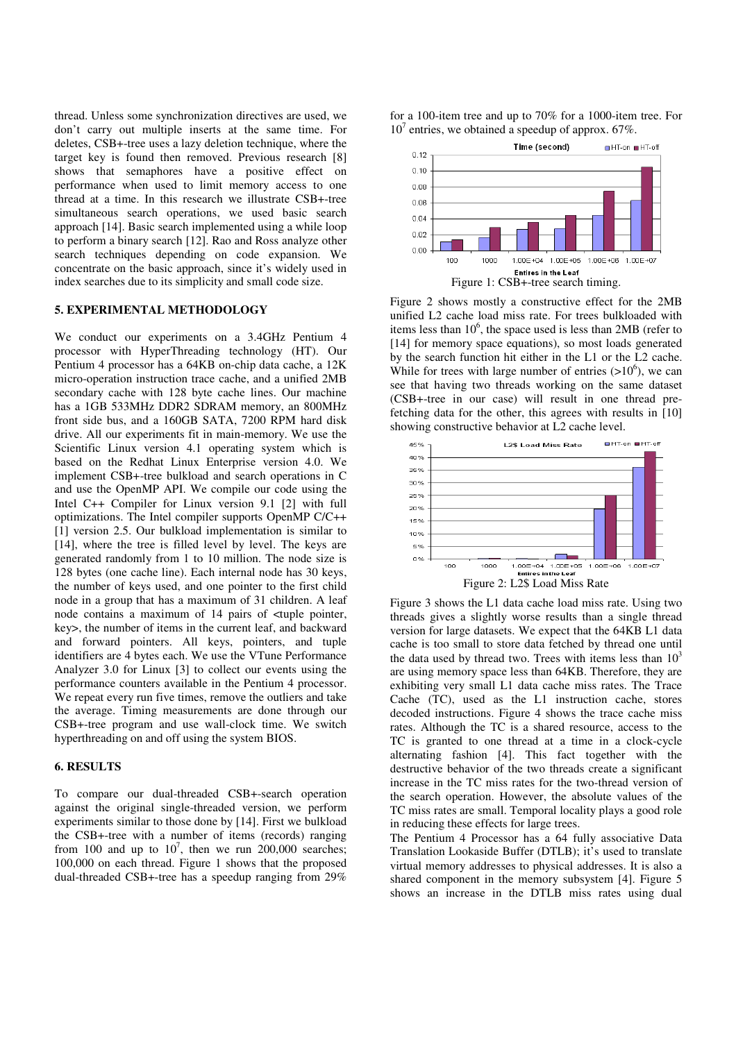thread. Unless some synchronization directives are used, we don't carry out multiple inserts at the same time. For deletes, CSB+-tree uses a lazy deletion technique, where the target key is found then removed. Previous research [8] shows that semaphores have a positive effect on performance when used to limit memory access to one thread at a time. In this research we illustrate CSB+-tree simultaneous search operations, we used basic search approach [14]. Basic search implemented using a while loop to perform a binary search [12]. Rao and Ross analyze other search techniques depending on code expansion. We concentrate on the basic approach, since it's widely used in index searches due to its simplicity and small code size.

#### **5. EXPERIMENTAL METHODOLOGY**

We conduct our experiments on a 3.4GHz Pentium 4 processor with HyperThreading technology (HT). Our Pentium 4 processor has a 64KB on-chip data cache, a 12K micro-operation instruction trace cache, and a unified 2MB secondary cache with 128 byte cache lines. Our machine has a 1GB 533MHz DDR2 SDRAM memory, an 800MHz front side bus, and a 160GB SATA, 7200 RPM hard disk drive. All our experiments fit in main-memory. We use the Scientific Linux version 4.1 operating system which is based on the Redhat Linux Enterprise version 4.0. We implement CSB+-tree bulkload and search operations in C and use the OpenMP API. We compile our code using the Intel C++ Compiler for Linux version 9.1 [2] with full optimizations. The Intel compiler supports OpenMP C/C++ [1] version 2.5. Our bulkload implementation is similar to [14], where the tree is filled level by level. The keys are generated randomly from 1 to 10 million. The node size is 128 bytes (one cache line). Each internal node has 30 keys, the number of keys used, and one pointer to the first child node in a group that has a maximum of 31 children. A leaf node contains a maximum of 14 pairs of <tuple pointer, key>, the number of items in the current leaf, and backward and forward pointers. All keys, pointers, and tuple identifiers are 4 bytes each. We use the VTune Performance Analyzer 3.0 for Linux [3] to collect our events using the performance counters available in the Pentium 4 processor. We repeat every run five times, remove the outliers and take the average. Timing measurements are done through our CSB+-tree program and use wall-clock time. We switch hyperthreading on and off using the system BIOS.

#### **6. RESULTS**

To compare our dual-threaded CSB+-search operation against the original single-threaded version, we perform experiments similar to those done by [14]. First we bulkload the CSB+-tree with a number of items (records) ranging from 100 and up to  $10^7$ , then we run 200,000 searches; 100,000 on each thread. Figure 1 shows that the proposed dual-threaded CSB+-tree has a speedup ranging from 29%

for a 100-item tree and up to 70% for a 1000-item tree. For 10<sup>7</sup> entries, we obtained a speedup of approx. 67%.



Figure 2 shows mostly a constructive effect for the 2MB unified L2 cache load miss rate. For trees bulkloaded with items less than  $10^6$ , the space used is less than  $2MB$  (refer to [14] for memory space equations), so most loads generated by the search function hit either in the L1 or the L2 cache. While for trees with large number of entries  $(>10^6)$ , we can see that having two threads working on the same dataset (CSB+-tree in our case) will result in one thread prefetching data for the other, this agrees with results in [10] showing constructive behavior at L2 cache level.



Figure 3 shows the L1 data cache load miss rate. Using two threads gives a slightly worse results than a single thread version for large datasets. We expect that the 64KB L1 data cache is too small to store data fetched by thread one until the data used by thread two. Trees with items less than  $10<sup>3</sup>$ are using memory space less than 64KB. Therefore, they are exhibiting very small L1 data cache miss rates. The Trace Cache (TC), used as the L1 instruction cache, stores decoded instructions. Figure 4 shows the trace cache miss rates. Although the TC is a shared resource, access to the TC is granted to one thread at a time in a clock-cycle alternating fashion [4]. This fact together with the destructive behavior of the two threads create a significant increase in the TC miss rates for the two-thread version of the search operation. However, the absolute values of the TC miss rates are small. Temporal locality plays a good role in reducing these effects for large trees.

The Pentium 4 Processor has a 64 fully associative Data Translation Lookaside Buffer (DTLB); it's used to translate virtual memory addresses to physical addresses. It is also a shared component in the memory subsystem [4]. Figure 5 shows an increase in the DTLB miss rates using dual